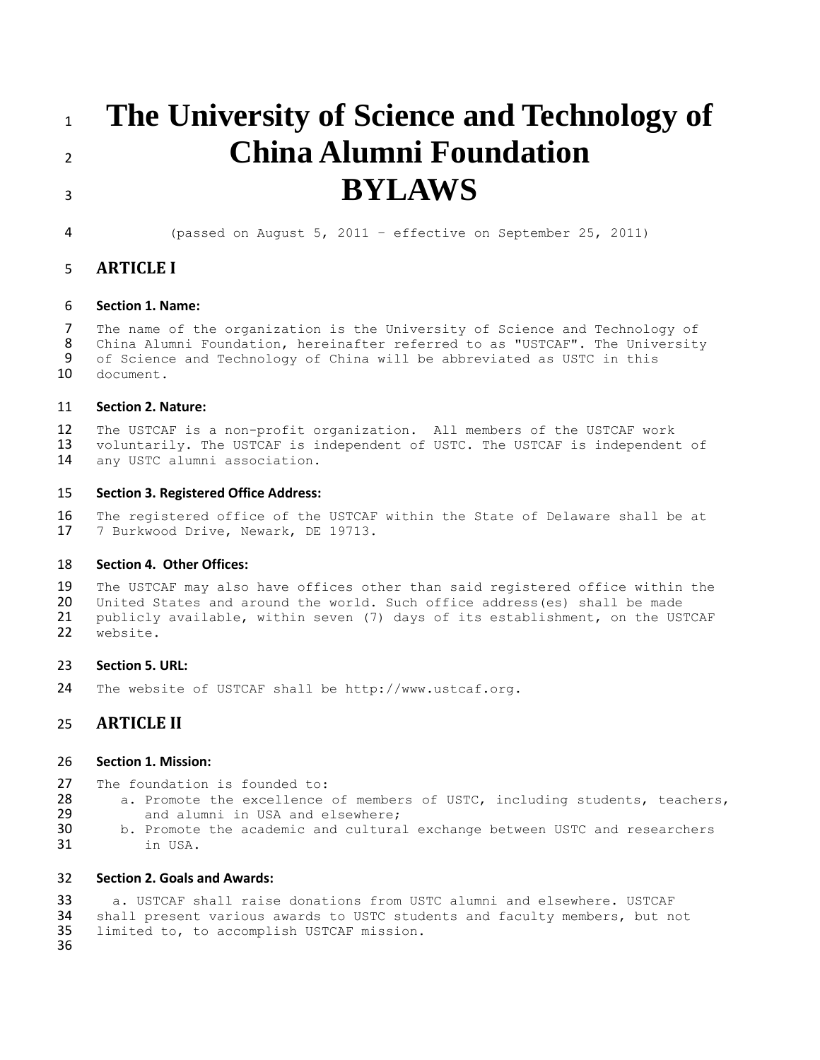# **The University of Science and Technology of China Alumni Foundation BYLAWS**

(passed on August 5, 2011 – effective on September 25, 2011)

# **ARTICLE I**

## **Section 1. Name:**

 The name of the organization is the University of Science and Technology of China Alumni Foundation, hereinafter referred to as "USTCAF". The University 9 of Science and Technology of China will be abbreviated as USTC in this 10 document. document.

## **Section 2. Nature:**

 The USTCAF is a non-profit organization. All members of the USTCAF work voluntarily. The USTCAF is independent of USTC. The USTCAF is independent of any USTC alumni association.

## **Section 3. Registered Office Address:**

 The registered office of the USTCAF within the State of Delaware shall be at 7 Burkwood Drive, Newark, DE 19713.

#### **Section 4. Other Offices:**

 The USTCAF may also have offices other than said registered office within the 20 United States and around the world. Such office address(es) shall be made<br>21 publicly available, within seven (7) days of its establishment, on the US 21 publicly available, within seven (7) days of its establishment, on the USTCAF<br>22 website. website.

#### **Section 5. URL:**

The website of USTCAF shall be http://www.ustcaf.org.

# **ARTICLE II**

#### **Section 1. Mission:**

- 27 The foundation is founded to:<br>28 a. Promote the excellence
- 28 a. Promote the excellence of members of USTC, including students, teachers,<br>29 and alumni in USA and elsewhere:
	- and alumni in USA and elsewhere;
- b. Promote the academic and cultural exchange between USTC and researchers in USA.

## **Section 2. Goals and Awards:**

 a. USTCAF shall raise donations from USTC alumni and elsewhere. USTCAF shall present various awards to USTC students and faculty members, but not limited to, to accomplish USTCAF mission.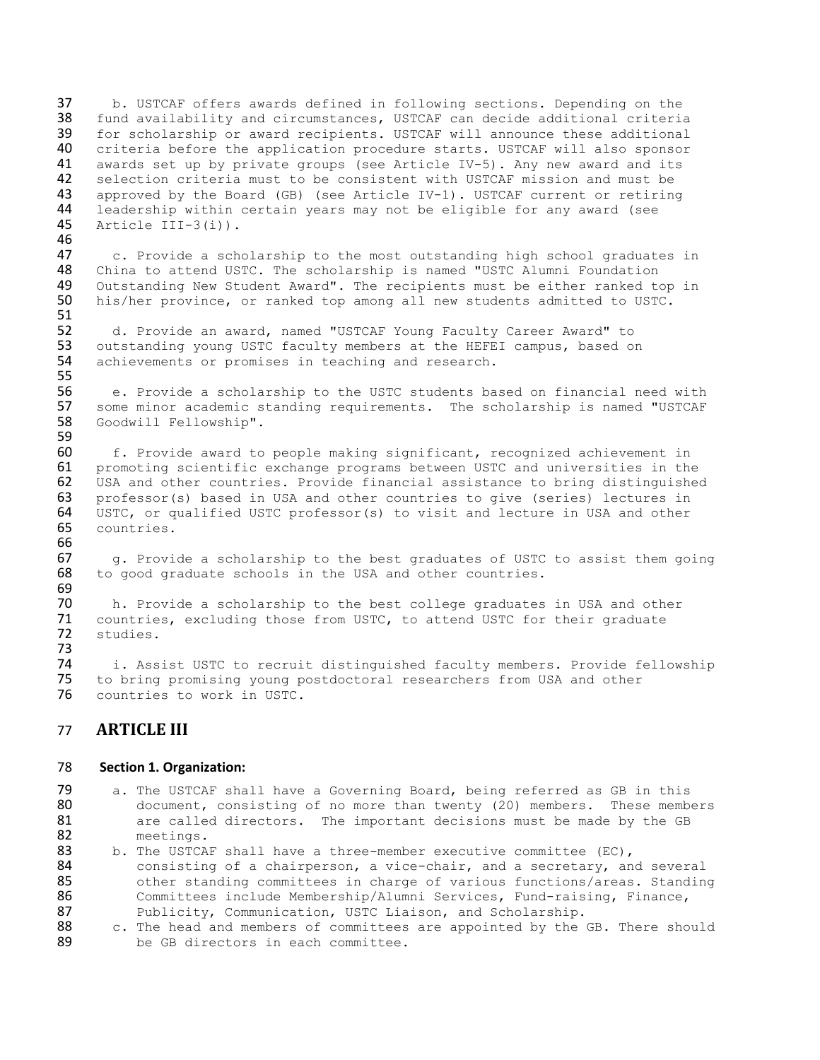37 b. USTCAF offers awards defined in following sections. Depending on the 38 fund availability and circumstances. USTCAF can decide additional criteria fund availability and circumstances, USTCAF can decide additional criteria 39 for scholarship or award recipients. USTCAF will announce these additional<br>40 criteria before the application procedure starts. USTCAF will also sponsor 40 criteria before the application procedure starts. USTCAF will also sponsor<br>41 awards set up by private groups (see Article IV-5). Any new award and its 41 awards set up by private groups (see Article IV-5). Any new award and its<br>42 selection criteria must to be consistent with USTCAF mission and must be selection criteria must to be consistent with USTCAF mission and must be 43 approved by the Board (GB) (see Article IV-1). USTCAF current or retiring  $44$  leadership within certain years may not be eligible for any award (see 44 leadership within certain years may not be eligible for any award (see  $45$  Article III-3(i)). Article III-3(i)).

46<br>47 47 c. Provide a scholarship to the most outstanding high school graduates in 48 China to attend USTC. The scholarship is named "USTC Alumni Foundation 48 China to attend USTC. The scholarship is named "USTC Alumni Foundation<br>49 Outstanding New Student Award". The recipients must be either ranked to 49 Outstanding New Student Award". The recipients must be either ranked top in<br>50 his/her province, or ranked top among all new students admitted to USTC. his/her province, or ranked top among all new students admitted to USTC.

51<br>52 52 d. Provide an award, named "USTCAF Young Faculty Career Award" to<br>53 outstanding young USTC faculty members at the HEFEI campus, based or 53 outstanding young USTC faculty members at the HEFEI campus, based on<br>54 achievements or promises in teaching and research. achievements or promises in teaching and research.

55<br>56 56 e. Provide a scholarship to the USTC students based on financial need with<br>57 some minor academic standing requirements. The scholarship is named "USTCAF 57 some minor academic standing requirements. The scholarship is named "USTCAF<br>58 Goodwill Fellowship". Goodwill Fellowship". 59

 f. Provide award to people making significant, recognized achievement in promoting scientific exchange programs between USTC and universities in the USA and other countries. Provide financial assistance to bring distinguished professor(s) based in USA and other countries to give (series) lectures in USTC, or qualified USTC professor(s) to visit and lecture in USA and other countries. 66<br>67

67 g. Provide a scholarship to the best graduates of USTC to assist them going 68 to good graduate schools in the USA and other countries. to good graduate schools in the USA and other countries.

69 70 h. Provide a scholarship to the best college graduates in USA and other<br>71 countries, excluding those from USTC, to attend USTC for their graduate 71 countries, excluding those from USTC, to attend USTC for their graduate<br>72 studies. studies.

73 74 i. Assist USTC to recruit distinguished faculty members. Provide fellowship<br>75 to bring promising young postdoctoral researchers from USA and other to bring promising young postdoctoral researchers from USA and other 76 countries to work in USTC.

# 77 **ARTICLE III**

## 78 **Section 1. Organization:**

- 79 a. The USTCAF shall have a Governing Board, being referred as GB in this 80 document, consisting of no more than twenty (20) members. These members 81 are called directors. The important decisions must be made by the GB 82 meetings.
- 83 b. The USTCAF shall have a three-member executive committee (EC), 84 consisting of a chairperson, a vice-chair, and a secretary, and several 85 other standing committees in charge of various functions/areas. Standing 86 Committees include Membership/Alumni Services, Fund-raising, Finance,<br>87 Publicity, Communication, USTC Liaison, and Scholarship. 87 Publicity, Communication, USTC Liaison, and Scholarship.<br>88 C. The head and members of committees are appointed by the
- 88 c. The head and members of committees are appointed by the GB. There should be GB directors in each committee. be GB directors in each committee.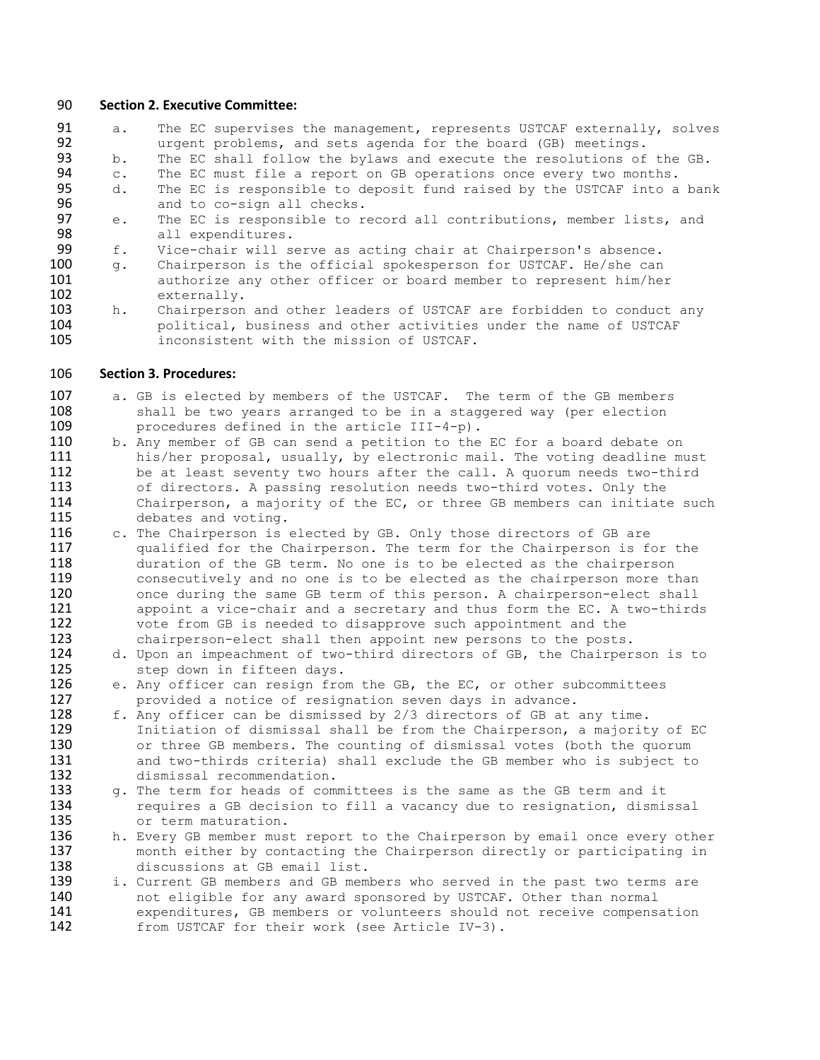#### 90 **Section 2. Executive Committee:**

91 a. The EC supervises the management, represents USTCAF externally, solves<br>92 urgent problems, and sets agenda for the board (GB) meetings. 92 urgent problems, and sets agenda for the board (GB) meetings.<br>93 b. The EC shall follow the bylaws and execute the resolutions of b. The EC shall follow the bylaws and execute the resolutions of the GB. 94 c. The EC must file a report on GB operations once every two months.

- 95 d. The EC is responsible to deposit fund raised by the USTCAF into a bank
- 96 and to co-sign all checks.<br>97 e. The EC is responsible to r 97 e. The EC is responsible to record all contributions, member lists, and all expenditures. 98 all expenditures.<br>99 f. Vice-chair will s
- 99 f. Vice-chair will serve as acting chair at Chairperson's absence.<br>100 q. Chairperson is the official spokesperson for USTCAF. He/she can
- 100 g. Chairperson is the official spokesperson for USTCAF. He/she can<br>101 authorize any other officer or board member to represent him/hei 101 authorize any other officer or board member to represent him/her<br>102 externally. 102 externally.<br>103 h. Chairperson
- h. Chairperson and other leaders of USTCAF are forbidden to conduct any 104 political, business and other activities under the name of USTCAF<br>105 **hotage inconsistent with the mission of USTCAF**. inconsistent with the mission of USTCAF.

#### 106 **Section 3. Procedures:**

- 107 a. GB is elected by members of the USTCAF. The term of the GB members 108 shall be two years arranged to be in a staggered way (per election 108 shall be two years arranged to be in a staggered way (per election  $109$  procedures defined in the article  $III-4-p$ ). 109 procedures defined in the article III-4-p).<br>110 b. Any member of GB can send a petition to the
- 110 b. Any member of GB can send a petition to the EC for a board debate on 111 his/her proposal, usually, by electronic mail. The voting deadline mu his/her proposal, usually, by electronic mail. The voting deadline must 112 be at least seventy two hours after the call. A quorum needs two-third 113 of directors. A passing resolution needs two-third votes. Only the<br>114 Chairperson, a majority of the EC, or three GB members can initiate 114 Chairperson, a majority of the EC, or three GB members can initiate such<br>115 debates and voting. debates and voting.
- 116 c. The Chairperson is elected by GB. Only those directors of GB are 117 qualified for the Chairperson. The term for the Chairperson is for the 118 duration of the GB term. No one is to be elected as the chairperson<br>119 consecutively and no one is to be elected as the chairperson more the consecutively and no one is to be elected as the chairperson more than 120 once during the same GB term of this person. A chairperson-elect shall 121 **appoint a vice-chair and a secretary and thus form the EC. A two-thirds** 122 vote from GB is needed to disapprove such appointment and the 123 chairperson-elect shall then appoint new persons to the posts
- 123 chairperson-elect shall then appoint new persons to the posts.<br>124 d. Upon an impeachment of two-third directors of GB, the Chairper 124 d. Upon an impeachment of two-third directors of GB, the Chairperson is to step down in fifteen days. 125 step down in fifteen days.<br>126 e. Any officer can resign fro
- 126 e. Any officer can resign from the GB, the EC, or other subcommittees 127 erovided a notice of resignation seven days in advance. 127 provided a notice of resignation seven days in advance.<br>128 f. Any officer can be dismissed by 2/3 directors of GB at
- 128 f. Any officer can be dismissed by 2/3 directors of GB at any time.<br>129 Initiation of dismissal shall be from the Chairperson, a majorit 129 Initiation of dismissal shall be from the Chairperson, a majority of EC<br>130 or three GB members. The counting of dismissal votes (both the quorum 130 or three GB members. The counting of dismissal votes (both the quorum<br>131 and two-thirds criteria) shall exclude the GB member who is subject to 131 and two-thirds criteria) shall exclude the GB member who is subject to 132 dismissal recommendation.
- 133 g. The term for heads of committees is the same as the GB term and it 134 requires a GB decision to fill a vacancy due to resignation, dismissal 135 or term maturation.<br>136 h. Every GB member mus
- h. Every GB member must report to the Chairperson by email once every other 137 month either by contacting the Chairperson directly or participating in 138 discussions at GB email list.<br>139 i. Current GB members and GB mem
- 139 i. Current GB members and GB members who served in the past two terms are<br>140 ont eligible for any award sponsored by USTCAF. Other than normal 140 and eligible for any award sponsored by USTCAF. Other than normal 141 141 expenditures, GB members or volunteers should not receive compensation<br>142 from USTCAF for their work (see Article IV-3). from USTCAF for their work (see Article IV-3).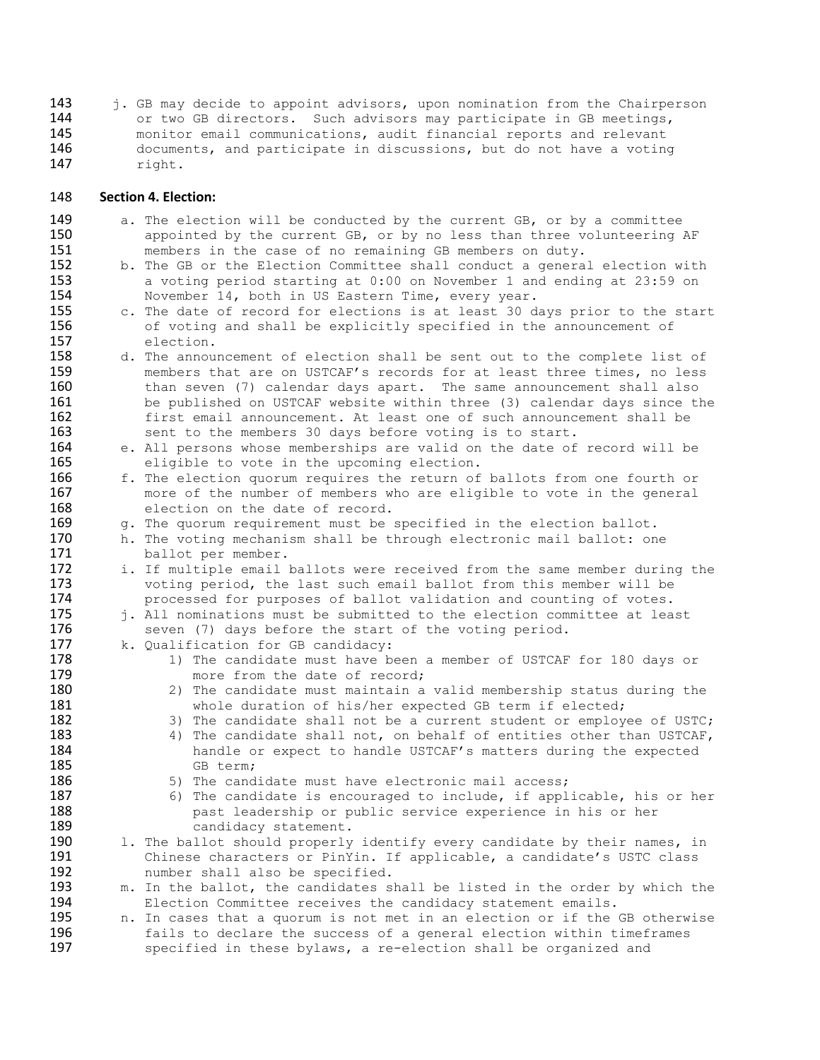143 j. GB may decide to appoint advisors, upon nomination from the Chairperson<br>144 or two GB directors. Such advisors may participate in GB meetings. 144 or two GB directors. Such advisors may participate in GB meetings,<br>145 monitor email communications, audit financial reports and relevant 145 monitor email communications, audit financial reports and relevant<br>146 documents, and participate in discussions, but do not have a votine 146 documents, and participate in discussions, but do not have a voting<br>147 right. right.

### 148 **Section 4. Election:**

- 149 a. The election will be conducted by the current GB, or by a committee<br>150 appointed by the current GB, or by no less than three volunteering 150 appointed by the current GB, or by no less than three volunteering AF 151 151 members in the case of no remaining GB members on duty.<br>152 b. The GB or the Election Committee shall conduct a genera
- 152 b. The GB or the Election Committee shall conduct a general election with<br>153 a voting period starting at 0:00 on November 1 and ending at 23:59 on 153 a voting period starting at 0:00 on November 1 and ending at 23:59 on 154 and November 14, both in US Eastern Time, every year. 154 November 14, both in US Eastern Time, every year.<br>155 c. The date of record for elections is at least 30 d
- 155 c. The date of record for elections is at least 30 days prior to the start<br>156 of voting and shall be explicitly specified in the announcement of 156 of voting and shall be explicitly specified in the announcement of election. 157 election.<br>158 d. The annou
- 158 d. The announcement of election shall be sent out to the complete list of 159 members that are on USTCAF's records for at least three times, no less 159 members that are on USTCAF's records for at least three times, no less<br>160 than seven (7) calendar days apart. The same announcement shall also than seven (7) calendar days apart. The same announcement shall also 161 be published on USTCAF website within three (3) calendar days since the 162 first email announcement. At least one of such announcement shall be 163 sent to the members 30 days before voting is to start. 163 sent to the members 30 days before voting is to start.<br>164 e. All persons whose memberships are valid on the date of
- 164 e. All persons whose memberships are valid on the date of record will be 165 eligible to vote in the upcoming election. 165 eligible to vote in the upcoming election.<br>166 f. The election quorum requires the return of
- 166 f. The election quorum requires the return of ballots from one fourth or 167 more of the number of members who are eligible to vote in the general 167 more of the number of members who are eligible to vote in the general 168 168 election on the date of record.<br>169 q. The quorum requirement must be
- 169 g. The quorum requirement must be specified in the election ballot.<br>170 h. The voting mechanism shall be through electronic mail ballot: on
- 170 h. The voting mechanism shall be through electronic mail ballot: one 171 ballot per member.
- 172 i. If multiple email ballots were received from the same member during the 173 voting period, the last such email ballot from this member will be 173 voting period, the last such email ballot from this member will be<br>174 brocessed for purposes of ballot validation and counting of votes. 174 processed for purposes of ballot validation and counting of votes.<br>175 i. All nominations must be submitted to the election committee at leas
	- i. All nominations must be submitted to the election committee at least
- 176 seven (7) days before the start of the voting period.<br>177 k. Qualification for GB candidacy:
- 177 k. Qualification for GB candidacy:<br>178 1) The candidate must have b
- 1) The candidate must have been a member of USTCAF for 180 days or 179 more from the date of record;<br>180 2) The candidate must maintain a
- 180 2) The candidate must maintain a valid membership status during the whole duration of his/her expected GB term if elected; 181 whole duration of his/her expected GB term if elected;<br>182 3) The candidate shall not be a current student or employe
- 182 3) The candidate shall not be a current student or employee of USTC;<br>183 183 189 1 The candidate shall not, on behalf of entities other than USTCAF,
- 183 4) The candidate shall not, on behalf of entities other than USTCAF,<br>184 handle or expect to handle USTCAF's matters during the expected 184 handle or expect to handle USTCAF's matters during the expected<br>185 6B term; **185** GB term;<br>**186** 5) The cand
- 186 5) The candidate must have electronic mail access;<br>187 6) The candidate is encouraged to include, if appl
- 187 6) The candidate is encouraged to include, if applicable, his or her 188 188 **188** past leadership or public service experience in his or her<br>189 **189** candidacy statement.
- 189 candidacy statement.<br>190 1. The ballot should properly 190 1. The ballot should properly identify every candidate by their names, in<br>191 Chinese characters or PinYin. If applicable, a candidate's USTC class 191 Chinese characters or PinYin. If applicable, a candidate's USTC class<br>192 humber shall also be specified. number shall also be specified.
- 193 m. In the ballot, the candidates shall be listed in the order by which the 194 Election Committee receives the candidacy statement emails. 194 Election Committee receives the candidacy statement emails.<br>195 h. In cases that a quorum is not met in an election or if the
- n. In cases that a quorum is not met in an election or if the GB otherwise 196 fails to declare the success of a general election within timeframes<br>197 specified in these bylaws, a re-election shall be organized and specified in these bylaws, a re-election shall be organized and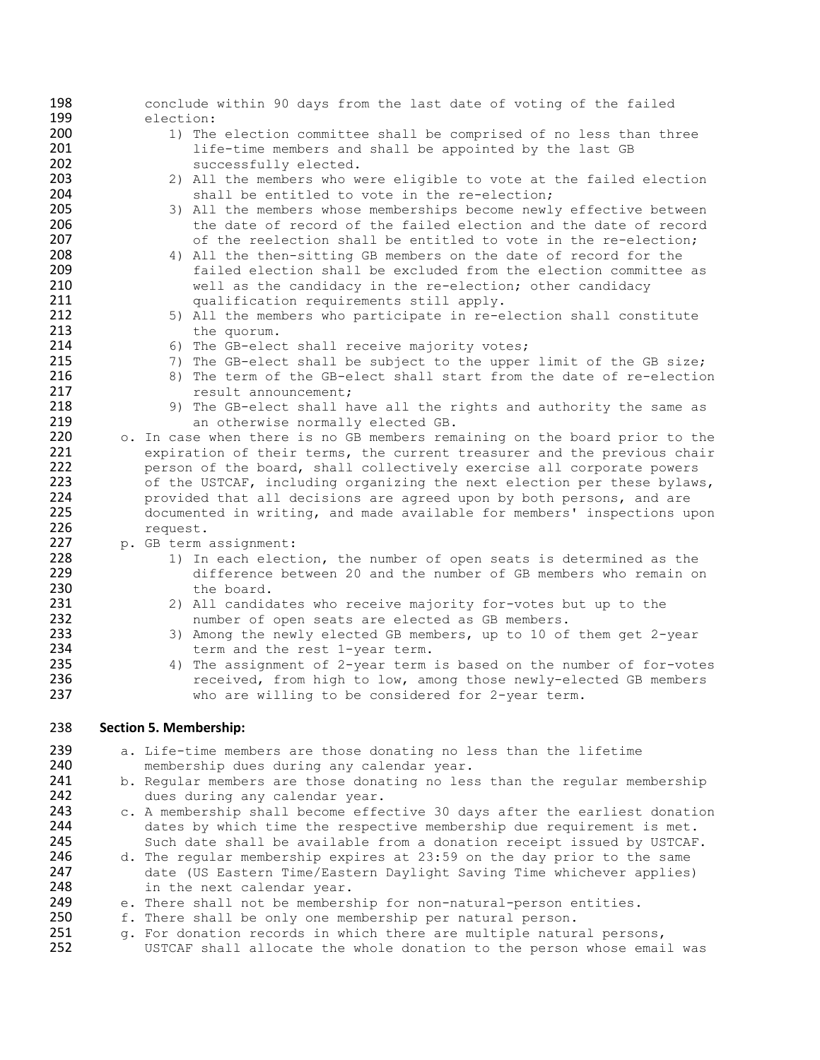| 198        | conclude within 90 days from the last date of voting of the failed                                                                              |
|------------|-------------------------------------------------------------------------------------------------------------------------------------------------|
| 199<br>200 | election:<br>1) The election committee shall be comprised of no less than three                                                                 |
| 201        | life-time members and shall be appointed by the last GB                                                                                         |
| 202        | successfully elected.                                                                                                                           |
| 203        | 2) All the members who were eligible to vote at the failed election                                                                             |
| 204        | shall be entitled to vote in the re-election;                                                                                                   |
| 205<br>206 | 3) All the members whose memberships become newly effective between<br>the date of record of the failed election and the date of record         |
| 207        | of the reelection shall be entitled to vote in the re-election;                                                                                 |
| 208        | 4) All the then-sitting GB members on the date of record for the                                                                                |
| 209        | failed election shall be excluded from the election committee as                                                                                |
| 210        | well as the candidacy in the re-election; other candidacy                                                                                       |
| 211<br>212 | qualification requirements still apply.                                                                                                         |
| 213        | 5) All the members who participate in re-election shall constitute<br>the quorum.                                                               |
| 214        | 6) The GB-elect shall receive majority votes;                                                                                                   |
| 215        | 7) The GB-elect shall be subject to the upper limit of the GB size;                                                                             |
| 216        | 8) The term of the GB-elect shall start from the date of re-election                                                                            |
| 217        | result announcement;                                                                                                                            |
| 218<br>219 | 9) The GB-elect shall have all the rights and authority the same as<br>an otherwise normally elected GB.                                        |
| 220        | o. In case when there is no GB members remaining on the board prior to the                                                                      |
| 221        | expiration of their terms, the current treasurer and the previous chair                                                                         |
| 222        | person of the board, shall collectively exercise all corporate powers                                                                           |
| 223        | of the USTCAF, including organizing the next election per these bylaws,                                                                         |
| 224<br>225 | provided that all decisions are agreed upon by both persons, and are                                                                            |
| 226        | documented in writing, and made available for members' inspections upon<br>request.                                                             |
| 227        | p. GB term assignment:                                                                                                                          |
| 228        | 1) In each election, the number of open seats is determined as the                                                                              |
| 229        | difference between 20 and the number of GB members who remain on                                                                                |
| 230<br>231 | the board.                                                                                                                                      |
| 232        | 2) All candidates who receive majority for-votes but up to the<br>number of open seats are elected as GB members.                               |
| 233        | 3) Among the newly elected GB members, up to 10 of them get 2-year                                                                              |
| 234        | term and the rest 1-year term.                                                                                                                  |
| 235        | 4) The assignment of 2-year term is based on the number of for-votes                                                                            |
| 236<br>237 | received, from high to low, among those newly-elected GB members<br>who are willing to be considered for 2-year term.                           |
|            |                                                                                                                                                 |
| 238        | <b>Section 5. Membership:</b>                                                                                                                   |
| 239        | a. Life-time members are those donating no less than the lifetime                                                                               |
| 240        | membership dues during any calendar year.                                                                                                       |
| 241        | b. Regular members are those donating no less than the regular membership                                                                       |
| 242        | dues during any calendar year.                                                                                                                  |
| 243<br>244 | c. A membership shall become effective 30 days after the earliest donation                                                                      |
| 245        | dates by which time the respective membership due requirement is met.<br>Such date shall be available from a donation receipt issued by USTCAF. |
| 246        | d. The regular membership expires at 23:59 on the day prior to the same                                                                         |
| 247        | date (US Eastern Time/Eastern Daylight Saving Time whichever applies)                                                                           |
| 248        | in the next calendar year.                                                                                                                      |
| 249<br>250 | e. There shall not be membership for non-natural-person entities.                                                                               |
| 251        | f. There shall be only one membership per natural person.                                                                                       |
|            |                                                                                                                                                 |
| 252        | g. For donation records in which there are multiple natural persons,<br>USTCAF shall allocate the whole donation to the person whose email was  |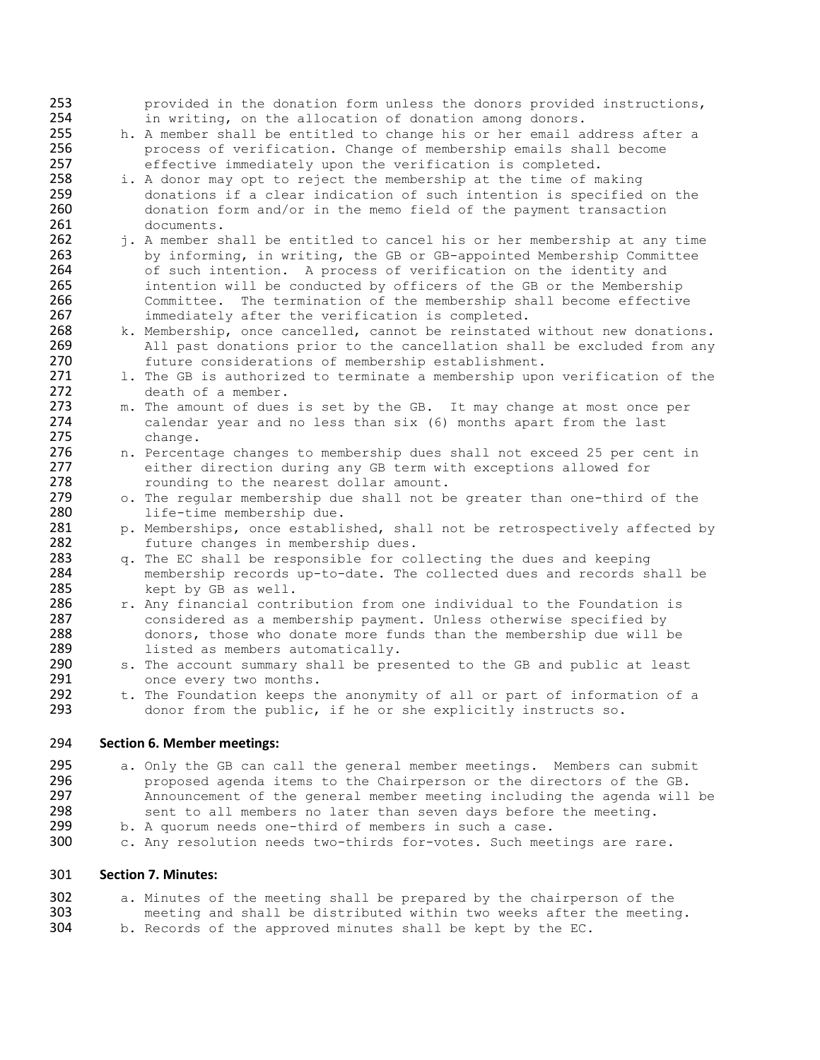253 provided in the donation form unless the donors provided instructions,<br>254 in writing, on the allocation of donation among donors. 254 in writing, on the allocation of donation among donors.<br>255 h. A member shall be entitled to change his or her email a 255 h. A member shall be entitled to change his or her email address after a<br>256 h. A process of verification. Change of membership emails shall become 256 process of verification. Change of membership emails shall become<br>257 effective immediately upon the verification is completed. 257 effective immediately upon the verification is completed.<br>258 i. A donor may opt to reject the membership at the time of m 258 i. A donor may opt to reject the membership at the time of making<br>259 donations if a clear indication of such intention is specified 259 donations if a clear indication of such intention is specified on the<br>260 donation form and/or in the memo field of the payment transaction 260 donation form and/or in the memo field of the payment transaction<br>261 documents. documents. 262 j. A member shall be entitled to cancel his or her membership at any time<br>263 by informing, in writing, the GB or GB-appointed Membership Committee 263 by informing, in writing, the GB or GB-appointed Membership Committee<br>264 of such intention. A process of verification on the identity and 264 of such intention. A process of verification on the identity and<br>265 intention will be conducted by officers of the GB or the Membersh 265 intention will be conducted by officers of the GB or the Membership<br>266 Committee. The termination of the membership shall become effective 266 Committee. The termination of the membership shall become effective<br>267 immediately after the verification is completed. 267 immediately after the verification is completed.<br>268 k. Membership, once cancelled, cannot be reinstated 268 k. Membership, once cancelled, cannot be reinstated without new donations.<br>269 hall past donations prior to the cancellation shall be excluded from any 269 All past donations prior to the cancellation shall be excluded from any<br>270 future considerations of membership establishment. 270 future considerations of membership establishment.<br>271 1. The GB is authorized to terminate a membership upo 271 1. The GB is authorized to terminate a membership upon verification of the 272 272 death of a member.<br>273 m. The amount of dues 273 m. The amount of dues is set by the GB. It may change at most once per 274 calendar year and no less than six (6) months apart from the last 274 calendar year and no less than six (6) months apart from the last 275 change. 276 n. Percentage changes to membership dues shall not exceed 25 per cent in<br>277 either direction during any GB term with exceptions allowed for 277 either direction during any GB term with exceptions allowed for<br>278 counding to the nearest dollar amount. 278 rounding to the nearest dollar amount.<br>279 o. The regular membership due shall not b 279 o. The regular membership due shall not be greater than one-third of the 280 280 life-time membership due.<br>281 p. Memberships, once establi p. Memberships, once established, shall not be retrospectively affected by 282 future changes in membership dues.<br>283  $\alpha$ . The EC shall be responsible for co 283 q. The EC shall be responsible for collecting the dues and keeping<br>284 membership records up-to-date. The collected dues and records sl 284 membership records up-to-date. The collected dues and records shall be 285 285 kept by GB as well.<br>286 r. Any financial contr 286 r. Any financial contribution from one individual to the Foundation is<br>287 considered as a membership payment. Unless otherwise specified by 287 considered as a membership payment. Unless otherwise specified by<br>288 donors, those who donate more funds than the membership due will b 288 donors, those who donate more funds than the membership due will be 289 listed as members automatically. 289 1isted as members automatically.<br>290 s. The account summary shall be pre 290 s. The account summary shall be presented to the GB and public at least 291 291 once every two months.<br>292 t. The Foundation keeps t 292 t. The Foundation keeps the anonymity of all or part of information of a<br>293 donor from the public, if he or she explicitly instructs so. donor from the public, if he or she explicitly instructs so. 294 **Section 6. Member meetings:** 

295 a. Only the GB can call the general member meetings. Members can submit<br>296 **bushed agenda** items to the Chairperson or the directors of the GB. 296 **proposed agenda items to the Chairperson or the directors of the GB.**<br>297 **hanouncement of the general member meeting including the agenda will** 297 Announcement of the general member meeting including the agenda will be<br>298 sent to all members no later than seven days before the meeting. 298 sent to all members no later than seven days before the meeting.<br>299 b. A quorum needs one-third of members in such a case.

- 299 b. A quorum needs one-third of members in such a case.<br>300 c. Any resolution needs two-thirds for-votes. Such mee
- c. Any resolution needs two-thirds for-votes. Such meetings are rare.

## 301 **Section 7. Minutes:**

302 a. Minutes of the meeting shall be prepared by the chairperson of the 303 303 meeting and shall be distributed within two weeks after the meeting.<br>304 b. Records of the approved minutes shall be kept by the EC. b. Records of the approved minutes shall be kept by the EC.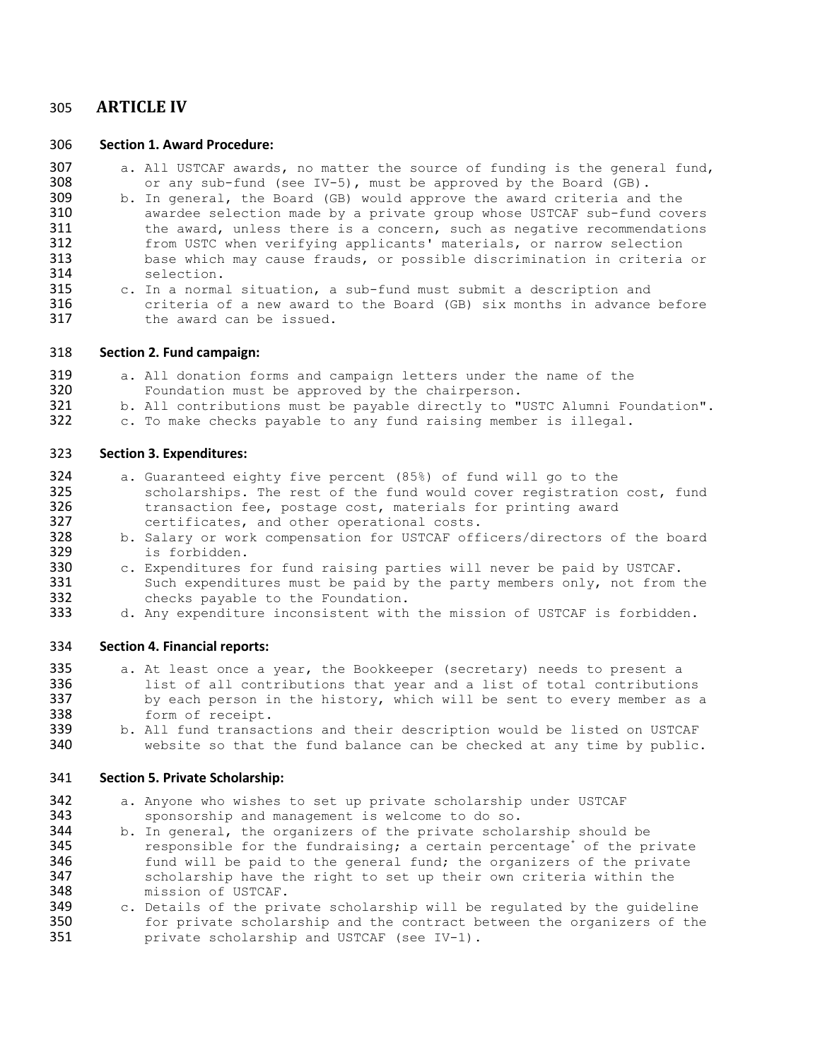# 305 **ARTICLE IV**

#### 306 **Section 1. Award Procedure:**

- 307 a. All USTCAF awards, no matter the source of funding is the general fund,  $308$  or any sub-fund (see IV-5), must be approved by the Board (GB). 308 or any sub-fund (see IV-5), must be approved by the Board (GB).<br>309 b. In general, the Board (GB) would approve the award criteria and
- 309 b. In general, the Board (GB) would approve the award criteria and the 310 awardee selection made by a private group whose USTCAF sub-fund cove 310 awardee selection made by a private group whose USTCAF sub-fund covers<br>311 the award, unless there is a concern, such as negative recommendations 311 the award, unless there is a concern, such as negative recommendations<br>312 from USTC when verifying applicants' materials, or narrow selection 312 from USTC when verifying applicants' materials, or narrow selection<br>313 base which may cause frauds, or possible discrimination in criteria 313 base which may cause frauds, or possible discrimination in criteria or 314 314 selection.<br>315 c. In a normal
- c. In a normal situation, a sub-fund must submit a description and 316 criteria of a new award to the Board (GB) six months in advance before<br>317 the award can be issued. the award can be issued.

#### 318 **Section 2. Fund campaign:**

- 319 a. All donation forms and campaign letters under the name of the 320 Foundation must be approved by the chairperson.
- 320 Foundation must be approved by the chairperson.<br>321 b. All contributions must be payable directly to "
- 321 b. All contributions must be payable directly to "USTC Alumni Foundation".<br>322 c. To make checks payable to any fund raising member is illegal.
- c. To make checks payable to any fund raising member is illegal.

#### 323 **Section 3. Expenditures:**

- 324 a. Guaranteed eighty five percent (85%) of fund will go to the 325 scholarships. The rest of the fund would cover registration cost, fund<br>326 transaction fee, postage cost, materials for printing award 326 transaction fee, postage cost, materials for printing award<br>327 certificates, and other operational costs. 327 certificates, and other operational costs.<br>328 b. Salary or work compensation for USTCAF off
- 328 b. Salary or work compensation for USTCAF officers/directors of the board<br>329 is forbidden. 329 is forbidden.<br>330 c. Expenditures
- 330 c. Expenditures for fund raising parties will never be paid by USTCAF.<br>331 Such expenditures must be paid by the party members only, not from 331 Such expenditures must be paid by the party members only, not from the<br>332 checks pavable to the Foundation. 332 checks payable to the Foundation.<br>333 d. Any expenditure inconsistent with
- d. Any expenditure inconsistent with the mission of USTCAF is forbidden.

#### 334 **Section 4. Financial reports:**

- 335 a. At least once a year, the Bookkeeper (secretary) needs to present a<br>336 list of all contributions that year and a list of total contribution 336 list of all contributions that year and a list of total contributions<br>337 by each person in the history, which will be sent to every member as a 337 by each person in the history, which will be sent to every member as a<br>338 form of receipt. 338 form of receipt.<br>339 b. All fund transac
- 339 b. All fund transactions and their description would be listed on USTCAF<br>340 website so that the fund balance can be checked at any time by public website so that the fund balance can be checked at any time by public.

#### 341 **Section 5. Private Scholarship:**

342 a. Anyone who wishes to set up private scholarship under USTCAF<br>343 sponsorship and management is welcome to do so. 343 sponsorship and management is welcome to do so.<br>344 b. In general, the organizers of the private schol

- 344 b. In general, the organizers of the private scholarship should be responsible for the fundraising; a certain percentage of the pi 345 The responsible for the fundraising; a certain percentage<sup>\*</sup> of the private<br>346 Tund will be paid to the general fund; the organizers of the private 346 fund will be paid to the general fund; the organizers of the private<br>347 scholarship have the right to set up their own criteria within the 347 scholarship have the right to set up their own criteria within the<br>348 mission of USTCAF. 348 mission of USTCAF.<br>349 c. Details of the pri
- 349 c. Details of the private scholarship will be regulated by the guideline<br>350 for private scholarship and the contract between the organizers of the 350 for private scholarship and the contract between the organizers of the<br>351 **bullionary of the State of the State 19**. private scholarship and USTCAF (see IV-1).